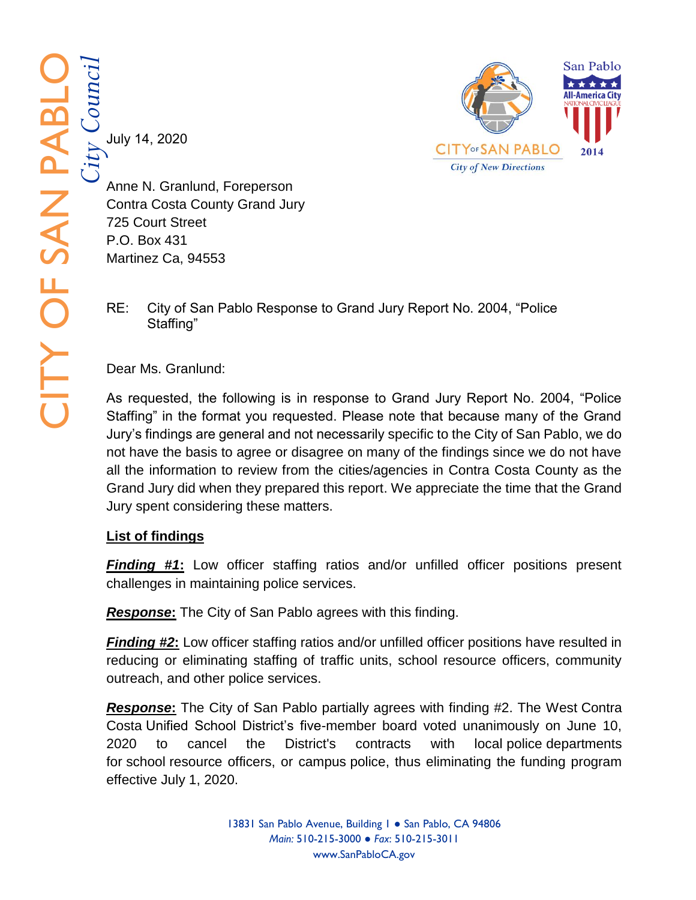*City Council* July 14, 2020



Anne N. Granlund, Foreperson Contra Costa County Grand Jury 725 Court Street P.O. Box 431 Martinez Ca, 94553

RE: City of San Pablo Response to Grand Jury Report No. 2004, "Police Staffing"

Dear Ms. Granlund:

As requested, the following is in response to Grand Jury Report No. 2004, "Police Staffing" in the format you requested. Please note that because many of the Grand Jury's findings are general and not necessarily specific to the City of San Pablo, we do not have the basis to agree or disagree on many of the findings since we do not have all the information to review from the cities/agencies in Contra Costa County as the Grand Jury did when they prepared this report. We appreciate the time that the Grand Jury spent considering these matters.

## **List of findings**

**Finding #1:** Low officer staffing ratios and/or unfilled officer positions present challenges in maintaining police services.

**Response:** The City of San Pablo agrees with this finding.

**Finding #2:** Low officer staffing ratios and/or unfilled officer positions have resulted in reducing or eliminating staffing of traffic units, school resource officers, community outreach, and other police services.

**Response:** The City of San Pablo partially agrees with finding #2. The West Contra Costa Unified School District's five -member board voted unanimously on June 10, 2020 to cancel the District's contracts with local police departments for school resource officers, or campus police, thus eliminating the funding program effective July 1, 2020.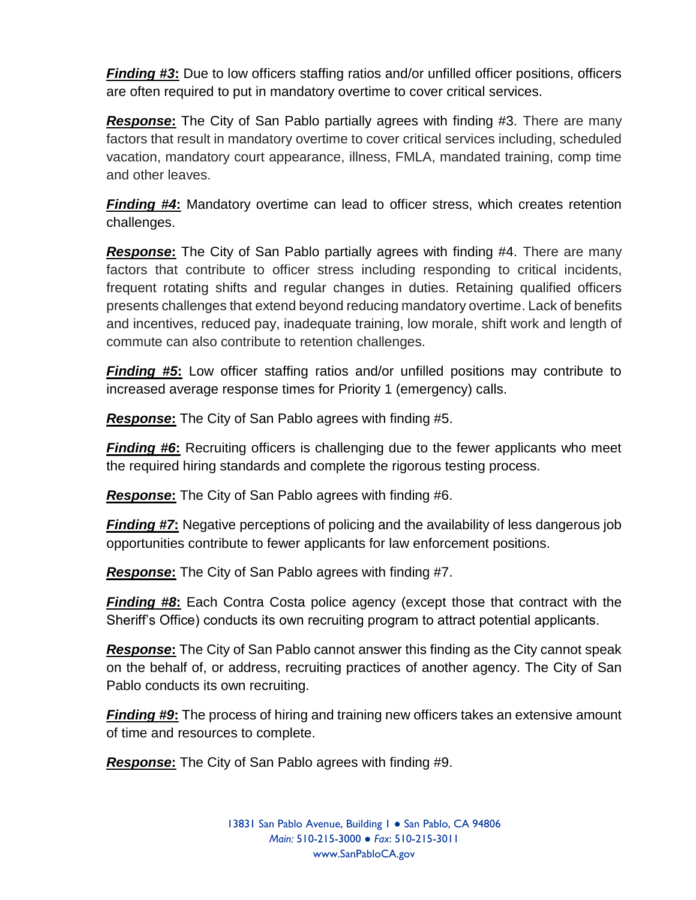*Finding #3***:** Due to low officers staffing ratios and/or unfilled officer positions, officers are often required to put in mandatory overtime to cover critical services.

*Response***:** The City of San Pablo partially agrees with finding #3. There are many factors that result in mandatory overtime to cover critical services including, scheduled vacation, mandatory court appearance, illness, FMLA, mandated training, comp time and other leaves.

*Finding #4***:** Mandatory overtime can lead to officer stress, which creates retention challenges.

*Response***:** The City of San Pablo partially agrees with finding #4. There are many factors that contribute to officer stress including responding to critical incidents, frequent rotating shifts and regular changes in duties. Retaining qualified officers presents challenges that extend beyond reducing mandatory overtime. Lack of benefits and incentives, reduced pay, inadequate training, low morale, shift work and length of commute can also contribute to retention challenges.

*Finding #5***:** Low officer staffing ratios and/or unfilled positions may contribute to increased average response times for Priority 1 (emergency) calls.

*Response***:** The City of San Pablo agrees with finding #5.

*Finding #6*: Recruiting officers is challenging due to the fewer applicants who meet the required hiring standards and complete the rigorous testing process.

*Response***:** The City of San Pablo agrees with finding #6.

*Finding #7***:** Negative perceptions of policing and the availability of less dangerous job opportunities contribute to fewer applicants for law enforcement positions.

*Response***:** The City of San Pablo agrees with finding #7.

*Finding #8***:** Each Contra Costa police agency (except those that contract with the Sheriff's Office) conducts its own recruiting program to attract potential applicants.

*Response***:** The City of San Pablo cannot answer this finding as the City cannot speak on the behalf of, or address, recruiting practices of another agency. The City of San Pablo conducts its own recruiting.

*Finding #9***:** The process of hiring and training new officers takes an extensive amount of time and resources to complete.

*Response***:** The City of San Pablo agrees with finding #9.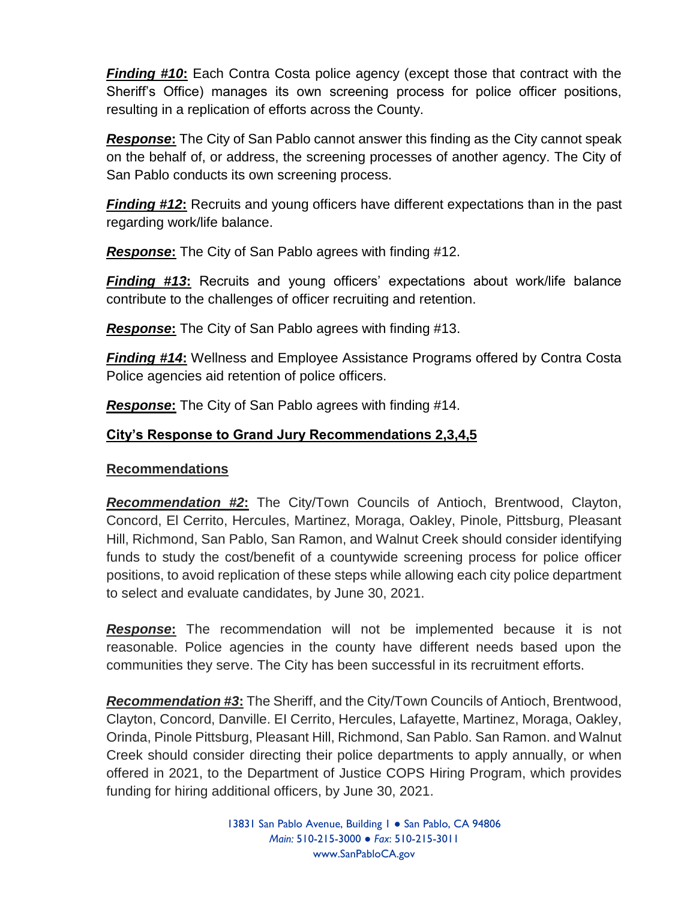*Finding #10***:** Each Contra Costa police agency (except those that contract with the Sheriff's Office) manages its own screening process for police officer positions, resulting in a replication of efforts across the County.

*Response***:** The City of San Pablo cannot answer this finding as the City cannot speak on the behalf of, or address, the screening processes of another agency. The City of San Pablo conducts its own screening process.

*Finding #12***:** Recruits and young officers have different expectations than in the past regarding work/life balance.

*Response***:** The City of San Pablo agrees with finding #12.

*Finding #13***:** Recruits and young officers' expectations about work/life balance contribute to the challenges of officer recruiting and retention.

*Response***:** The City of San Pablo agrees with finding #13.

*Finding #14***:** Wellness and Employee Assistance Programs offered by Contra Costa Police agencies aid retention of police officers.

*Response***:** The City of San Pablo agrees with finding #14.

## **City's Response to Grand Jury Recommendations 2,3,4,5**

## **Recommendations**

*Recommendation #2***:** The City/Town Councils of Antioch, Brentwood, Clayton, Concord, El Cerrito, Hercules, Martinez, Moraga, Oakley, Pinole, Pittsburg, Pleasant Hill, Richmond, San Pablo, San Ramon, and Walnut Creek should consider identifying funds to study the cost/benefit of a countywide screening process for police officer positions, to avoid replication of these steps while allowing each city police department to select and evaluate candidates, by June 30, 2021.

*Response***:** The recommendation will not be implemented because it is not reasonable. Police agencies in the county have different needs based upon the communities they serve. The City has been successful in its recruitment efforts.

*Recommendation #3***:** The Sheriff, and the City/Town Councils of Antioch, Brentwood, Clayton, Concord, Danville. EI Cerrito, Hercules, Lafayette, Martinez, Moraga, Oakley, Orinda, Pinole Pittsburg, Pleasant Hill, Richmond, San Pablo. San Ramon. and Walnut Creek should consider directing their police departments to apply annually, or when offered in 2021, to the Department of Justice COPS Hiring Program, which provides funding for hiring additional officers, by June 30, 2021.